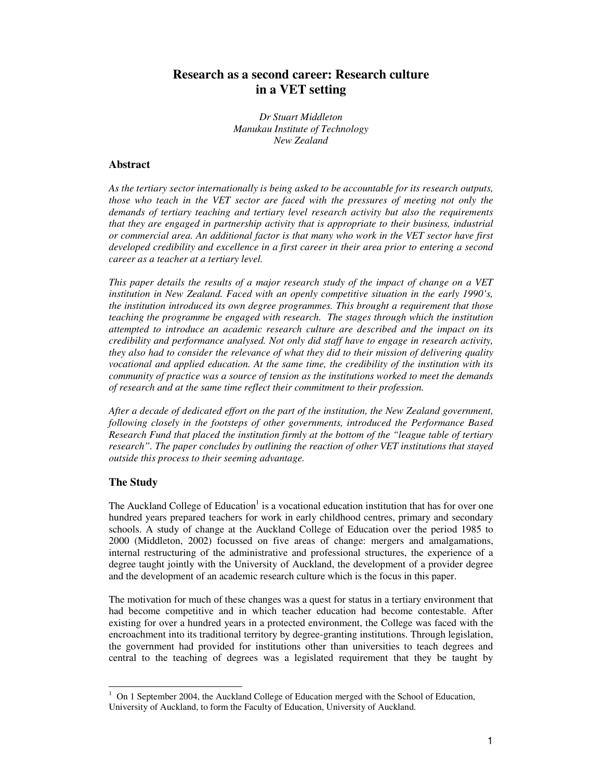# **Research as a second career: Research culture in a VET setting**

*Dr Stuart Middleton Manukau Institute of Technology New Zealand*

## **Abstract**

*As the tertiary sector internationally is being asked to be accountable for its research outputs, those who teach in the VET sector are faced with the pressures of meeting not only the demands of tertiary teaching and tertiary level research activity but also the requirements that they are engaged in partnership activity that is appropriate to their business, industrial or commercial area. An additional factor is that many who work in the VET sector have first developed credibility and excellence in a first career in their area prior to entering a second career as a teacher at a tertiary level.*

*This paper details the results of a major research study of the impact of change on a VET institution in New Zealand. Faced with an openly competitive situation in the early 1990's, the institution introduced its own degree programmes. This brought a requirement that those teaching the programme be engaged with research. The stages through which the institution attempted to introduce an academic research culture are described and the impact on its credibility and performance analysed. Not only did staff have to engage in research activity, they also had to consider the relevance of what they did to their mission of delivering quality vocational and applied education. At the same time, the credibility of the institution with its community of practice was a source of tension as the institutions worked to meet the demands of research and at the same time reflect their commitment to their profession.*

*After a decade of dedicated effort on the part of the institution, the New Zealand government, following closely in the footsteps of other governments, introduced the Performance Based Research Fund that placed the institution firmly at the bottom of the "league table of tertiary research". The paper concludes by outlining the reaction of other VET institutions that stayed outside this process to their seeming advantage.*

# **The Study**

The Auckland College of Education<sup>1</sup> is a vocational education institution that has for over one hundred years prepared teachers for work in early childhood centres, primary and secondary schools. A study of change at the Auckland College of Education over the period 1985 to 2000 (Middleton, 2002) focussed on five areas of change: mergers and amalgamations, internal restructuring of the administrative and professional structures, the experience of a degree taught jointly with the University of Auckland, the development of a provider degree and the development of an academic research culture which is the focus in this paper.

The motivation for much of these changes was a quest for status in a tertiary environment that had become competitive and in which teacher education had become contestable. After existing for over a hundred years in a protected environment, the College was faced with the encroachment into its traditional territory by degree-granting institutions. Through legislation, the government had provided for institutions other than universities to teach degrees and central to the teaching of degrees was a legislated requirement that they be taught by

<sup>1</sup> On 1 September 2004, the Auckland College of Education merged with the School of Education, University of Auckland, to form the Faculty of Education, University of Auckland.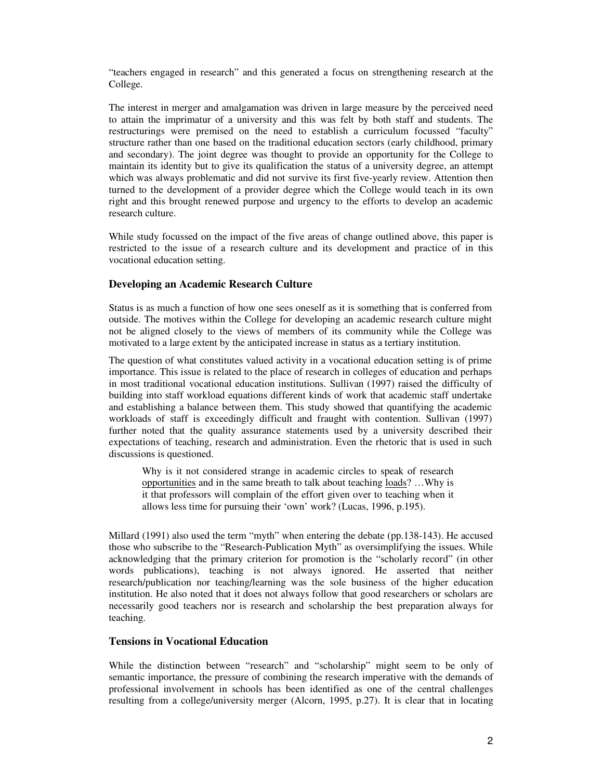"teachers engaged in research" and this generated a focus on strengthening research at the College.

The interest in merger and amalgamation was driven in large measure by the perceived need to attain the imprimatur of a university and this was felt by both staff and students. The restructurings were premised on the need to establish a curriculum focussed "faculty" structure rather than one based on the traditional education sectors (early childhood, primary and secondary). The joint degree was thought to provide an opportunity for the College to maintain its identity but to give its qualification the status of a university degree, an attempt which was always problematic and did not survive its first five-yearly review. Attention then turned to the development of a provider degree which the College would teach in its own right and this brought renewed purpose and urgency to the efforts to develop an academic research culture.

While study focussed on the impact of the five areas of change outlined above, this paper is restricted to the issue of a research culture and its development and practice of in this vocational education setting.

### **Developing an Academic Research Culture**

Status is as much a function of how one sees oneself as it is something that is conferred from outside. The motives within the College for developing an academic research culture might not be aligned closely to the views of members of its community while the College was motivated to a large extent by the anticipated increase in status as a tertiary institution.

The question of what constitutes valued activity in a vocational education setting is of prime importance. This issue is related to the place of research in colleges of education and perhaps in most traditional vocational education institutions. Sullivan (1997) raised the difficulty of building into staff workload equations different kinds of work that academic staff undertake and establishing a balance between them. This study showed that quantifying the academic workloads of staff is exceedingly difficult and fraught with contention. Sullivan (1997) further noted that the quality assurance statements used by a university described their expectations of teaching, research and administration. Even the rhetoric that is used in such discussions is questioned.

Why is it not considered strange in academic circles to speak of research opportunities and in the same breath to talk about teaching loads? …Why is it that professors will complain of the effort given over to teaching when it allows less time for pursuing their 'own' work? (Lucas, 1996, p.195).

Millard (1991) also used the term "myth" when entering the debate (pp.138-143). He accused those who subscribe to the "Research-Publication Myth" as oversimplifying the issues. While acknowledging that the primary criterion for promotion is the "scholarly record" (in other words publications), teaching is not always ignored. He asserted that neither research/publication nor teaching/learning was the sole business of the higher education institution. He also noted that it does not always follow that good researchers or scholars are necessarily good teachers nor is research and scholarship the best preparation always for teaching.

#### **Tensions in Vocational Education**

While the distinction between "research" and "scholarship" might seem to be only of semantic importance, the pressure of combining the research imperative with the demands of professional involvement in schools has been identified as one of the central challenges resulting from a college/university merger (Alcorn, 1995, p.27). It is clear that in locating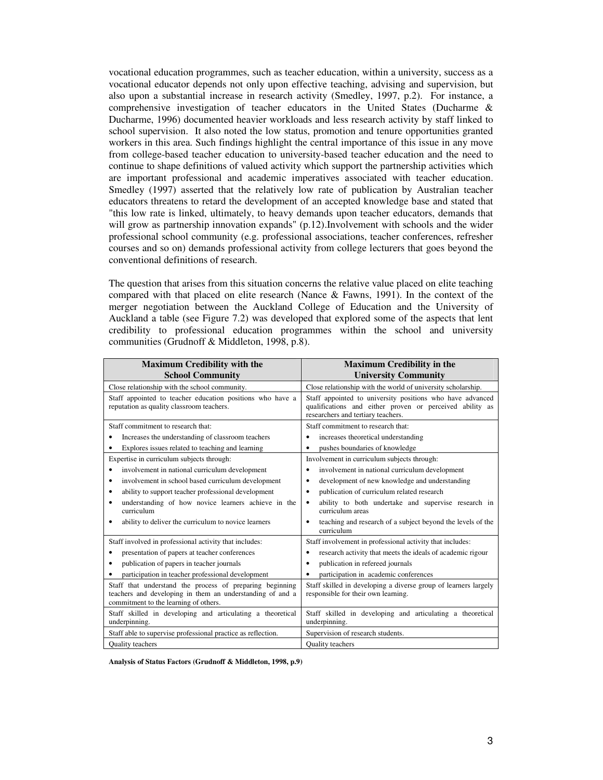vocational education programmes, such as teacher education, within a university, success as a vocational educator depends not only upon effective teaching, advising and supervision, but also upon a substantial increase in research activity (Smedley, 1997, p.2). For instance, a comprehensive investigation of teacher educators in the United States (Ducharme & Ducharme, 1996) documented heavier workloads and less research activity by staff linked to school supervision. It also noted the low status, promotion and tenure opportunities granted workers in this area. Such findings highlight the central importance of this issue in any move from college-based teacher education to university-based teacher education and the need to continue to shape definitions of valued activity which support the partnership activities which are important professional and academic imperatives associated with teacher education. Smedley (1997) asserted that the relatively low rate of publication by Australian teacher educators threatens to retard the development of an accepted knowledge base and stated that "this low rate is linked, ultimately, to heavy demands upon teacher educators, demands that will grow as partnership innovation expands" (p.12).Involvement with schools and the wider professional school community (e.g. professional associations, teacher conferences, refresher courses and so on) demands professional activity from college lecturers that goes beyond the conventional definitions of research.

The question that arises from this situation concerns the relative value placed on elite teaching compared with that placed on elite research (Nance & Fawns, 1991). In the context of the merger negotiation between the Auckland College of Education and the University of Auckland a table (see Figure 7.2) was developed that explored some of the aspects that lent credibility to professional education programmes within the school and university communities (Grudnoff & Middleton, 1998, p.8).

| <b>Maximum Credibility with the</b><br><b>School Community</b>                                                                                                 | <b>Maximum Credibility in the</b><br><b>University Community</b>                                                                                            |
|----------------------------------------------------------------------------------------------------------------------------------------------------------------|-------------------------------------------------------------------------------------------------------------------------------------------------------------|
| Close relationship with the school community.                                                                                                                  | Close relationship with the world of university scholarship.                                                                                                |
| Staff appointed to teacher education positions who have a<br>reputation as quality classroom teachers.                                                         | Staff appointed to university positions who have advanced<br>qualifications and either proven or perceived ability as<br>researchers and tertiary teachers. |
| Staff commitment to research that:                                                                                                                             | Staff commitment to research that:                                                                                                                          |
| Increases the understanding of classroom teachers                                                                                                              | increases theoretical understanding<br>٠                                                                                                                    |
| Explores issues related to teaching and learning<br>٠                                                                                                          | pushes boundaries of knowledge                                                                                                                              |
| Expertise in curriculum subjects through:                                                                                                                      | Involvement in curriculum subjects through:                                                                                                                 |
| involvement in national curriculum development<br>$\bullet$                                                                                                    | involvement in national curriculum development<br>$\bullet$                                                                                                 |
| involvement in school based curriculum development<br>٠                                                                                                        | development of new knowledge and understanding                                                                                                              |
| ability to support teacher professional development<br>٠                                                                                                       | publication of curriculum related research                                                                                                                  |
| understanding of how novice learners achieve in the<br>٠<br>curriculum                                                                                         | ability to both undertake and supervise research in<br>curriculum areas                                                                                     |
| ability to deliver the curriculum to novice learners                                                                                                           | teaching and research of a subject beyond the levels of the<br>curriculum                                                                                   |
| Staff involved in professional activity that includes:                                                                                                         | Staff involvement in professional activity that includes:                                                                                                   |
| presentation of papers at teacher conferences<br>٠                                                                                                             | research activity that meets the ideals of academic rigour                                                                                                  |
| publication of papers in teacher journals<br>٠                                                                                                                 | publication in refereed journals<br>٠                                                                                                                       |
| participation in teacher professional development<br>٠                                                                                                         | participation in academic conferences                                                                                                                       |
| Staff that understand the process of preparing beginning<br>teachers and developing in them an understanding of and a<br>commitment to the learning of others. | Staff skilled in developing a diverse group of learners largely<br>responsible for their own learning.                                                      |
| Staff skilled in developing and articulating a theoretical<br>underpinning.                                                                                    | Staff skilled in developing and articulating a theoretical<br>underpinning.                                                                                 |
| Staff able to supervise professional practice as reflection.                                                                                                   | Supervision of research students.                                                                                                                           |
| <b>Ouality</b> teachers                                                                                                                                        | <b>Ouality</b> teachers                                                                                                                                     |

**Analysis of Status Factors (Grudnoff & Middleton, 1998, p.9)**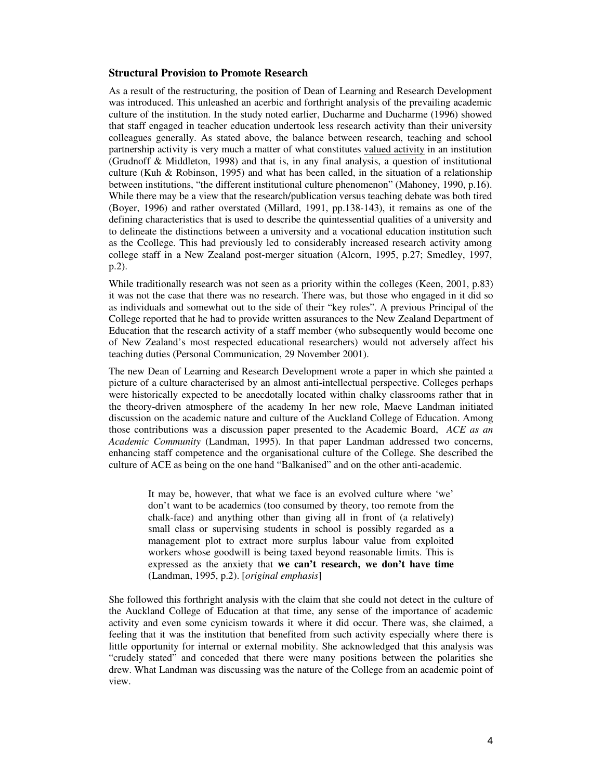#### **Structural Provision to Promote Research**

As a result of the restructuring, the position of Dean of Learning and Research Development was introduced. This unleashed an acerbic and forthright analysis of the prevailing academic culture of the institution. In the study noted earlier, Ducharme and Ducharme (1996) showed that staff engaged in teacher education undertook less research activity than their university colleagues generally. As stated above, the balance between research, teaching and school partnership activity is very much a matter of what constitutes valued activity in an institution (Grudnoff & Middleton, 1998) and that is, in any final analysis, a question of institutional culture (Kuh & Robinson, 1995) and what has been called, in the situation of a relationship between institutions, "the different institutional culture phenomenon" (Mahoney, 1990, p.16). While there may be a view that the research/publication versus teaching debate was both tired (Boyer, 1996) and rather overstated (Millard, 1991, pp.138-143), it remains as one of the defining characteristics that is used to describe the quintessential qualities of a university and to delineate the distinctions between a university and a vocational education institution such as the Ccollege. This had previously led to considerably increased research activity among college staff in a New Zealand post-merger situation (Alcorn, 1995, p.27; Smedley, 1997, p.2).

While traditionally research was not seen as a priority within the colleges (Keen, 2001, p.83) it was not the case that there was no research. There was, but those who engaged in it did so as individuals and somewhat out to the side of their "key roles". A previous Principal of the College reported that he had to provide written assurances to the New Zealand Department of Education that the research activity of a staff member (who subsequently would become one of New Zealand's most respected educational researchers) would not adversely affect his teaching duties (Personal Communication, 29 November 2001).

The new Dean of Learning and Research Development wrote a paper in which she painted a picture of a culture characterised by an almost anti-intellectual perspective. Colleges perhaps were historically expected to be anecdotally located within chalky classrooms rather that in the theory-driven atmosphere of the academy In her new role, Maeve Landman initiated discussion on the academic nature and culture of the Auckland College of Education. Among those contributions was a discussion paper presented to the Academic Board, *ACE as an Academic Community* (Landman, 1995). In that paper Landman addressed two concerns, enhancing staff competence and the organisational culture of the College. She described the culture of ACE as being on the one hand "Balkanised" and on the other anti-academic.

> It may be, however, that what we face is an evolved culture where 'we' don't want to be academics (too consumed by theory, too remote from the chalk-face) and anything other than giving all in front of (a relatively) small class or supervising students in school is possibly regarded as a management plot to extract more surplus labour value from exploited workers whose goodwill is being taxed beyond reasonable limits. This is expressed as the anxiety that **we can't research, we don't have time** (Landman, 1995, p.2). [*original emphasis*]

She followed this forthright analysis with the claim that she could not detect in the culture of the Auckland College of Education at that time, any sense of the importance of academic activity and even some cynicism towards it where it did occur. There was, she claimed, a feeling that it was the institution that benefited from such activity especially where there is little opportunity for internal or external mobility. She acknowledged that this analysis was "crudely stated" and conceded that there were many positions between the polarities she drew. What Landman was discussing was the nature of the College from an academic point of view.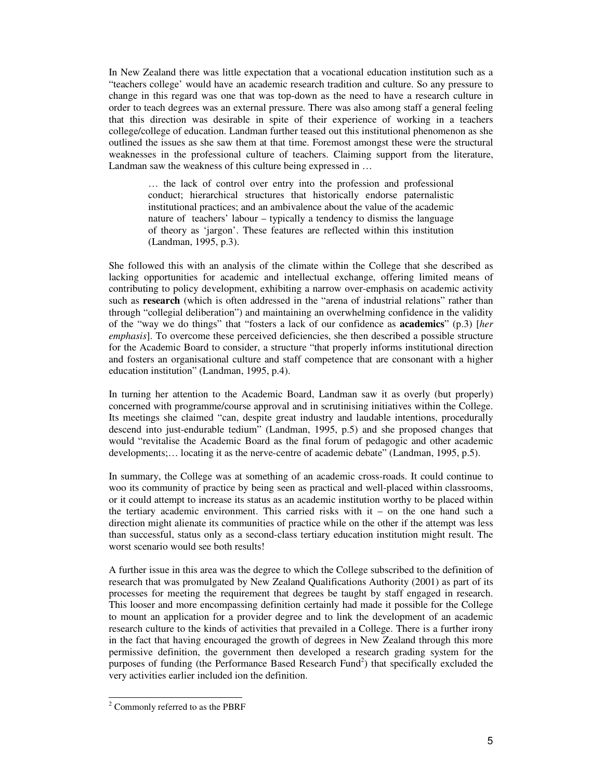In New Zealand there was little expectation that a vocational education institution such as a "teachers college' would have an academic research tradition and culture. So any pressure to change in this regard was one that was top-down as the need to have a research culture in order to teach degrees was an external pressure. There was also among staff a general feeling that this direction was desirable in spite of their experience of working in a teachers college/college of education. Landman further teased out this institutional phenomenon as she outlined the issues as she saw them at that time. Foremost amongst these were the structural weaknesses in the professional culture of teachers. Claiming support from the literature, Landman saw the weakness of this culture being expressed in …

> … the lack of control over entry into the profession and professional conduct; hierarchical structures that historically endorse paternalistic institutional practices; and an ambivalence about the value of the academic nature of teachers' labour – typically a tendency to dismiss the language of theory as 'jargon'. These features are reflected within this institution (Landman, 1995, p.3).

She followed this with an analysis of the climate within the College that she described as lacking opportunities for academic and intellectual exchange, offering limited means of contributing to policy development, exhibiting a narrow over-emphasis on academic activity such as **research** (which is often addressed in the "arena of industrial relations" rather than through "collegial deliberation") and maintaining an overwhelming confidence in the validity of the "way we do things" that "fosters a lack of our confidence as **academics**" (p.3) [*her emphasis*]. To overcome these perceived deficiencies, she then described a possible structure for the Academic Board to consider, a structure "that properly informs institutional direction and fosters an organisational culture and staff competence that are consonant with a higher education institution" (Landman, 1995, p.4).

In turning her attention to the Academic Board, Landman saw it as overly (but properly) concerned with programme/course approval and in scrutinising initiatives within the College. Its meetings she claimed "can, despite great industry and laudable intentions, procedurally descend into just-endurable tedium" (Landman, 1995, p.5) and she proposed changes that would "revitalise the Academic Board as the final forum of pedagogic and other academic developments;… locating it as the nerve-centre of academic debate" (Landman, 1995, p.5).

In summary, the College was at something of an academic cross-roads. It could continue to woo its community of practice by being seen as practical and well-placed within classrooms, or it could attempt to increase its status as an academic institution worthy to be placed within the tertiary academic environment. This carried risks with  $it -$  on the one hand such a direction might alienate its communities of practice while on the other if the attempt was less than successful, status only as a second-class tertiary education institution might result. The worst scenario would see both results!

A further issue in this area was the degree to which the College subscribed to the definition of research that was promulgated by New Zealand Qualifications Authority (2001) as part of its processes for meeting the requirement that degrees be taught by staff engaged in research. This looser and more encompassing definition certainly had made it possible for the College to mount an application for a provider degree and to link the development of an academic research culture to the kinds of activities that prevailed in a College. There is a further irony in the fact that having encouraged the growth of degrees in New Zealand through this more permissive definition, the government then developed a research grading system for the purposes of funding (the Performance Based Research Fund<sup>2</sup>) that specifically excluded the very activities earlier included ion the definition.

<sup>2</sup> Commonly referred to as the PBRF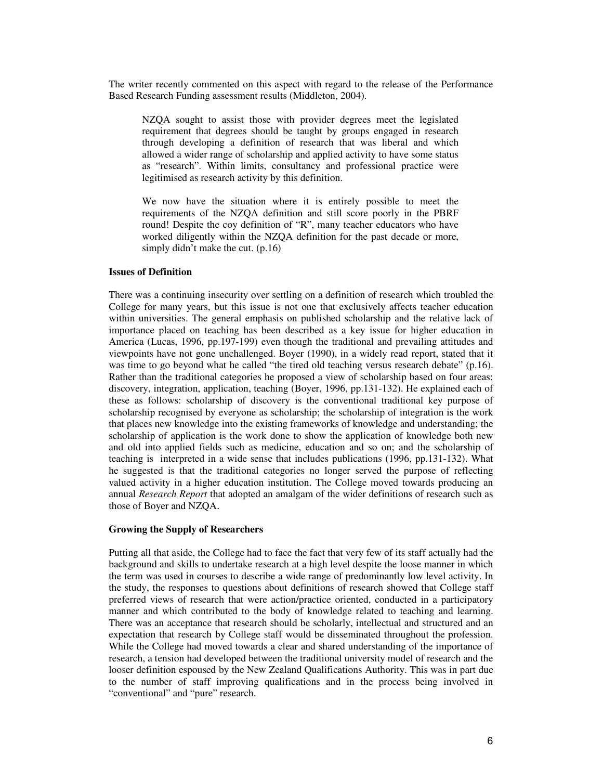The writer recently commented on this aspect with regard to the release of the Performance Based Research Funding assessment results (Middleton, 2004).

NZQA sought to assist those with provider degrees meet the legislated requirement that degrees should be taught by groups engaged in research through developing a definition of research that was liberal and which allowed a wider range of scholarship and applied activity to have some status as "research". Within limits, consultancy and professional practice were legitimised as research activity by this definition.

We now have the situation where it is entirely possible to meet the requirements of the NZQA definition and still score poorly in the PBRF round! Despite the coy definition of "R", many teacher educators who have worked diligently within the NZQA definition for the past decade or more, simply didn't make the cut. (p.16)

#### **Issues of Definition**

There was a continuing insecurity over settling on a definition of research which troubled the College for many years, but this issue is not one that exclusively affects teacher education within universities. The general emphasis on published scholarship and the relative lack of importance placed on teaching has been described as a key issue for higher education in America (Lucas, 1996, pp.197-199) even though the traditional and prevailing attitudes and viewpoints have not gone unchallenged. Boyer (1990), in a widely read report, stated that it was time to go beyond what he called "the tired old teaching versus research debate" (p.16). Rather than the traditional categories he proposed a view of scholarship based on four areas: discovery, integration, application, teaching (Boyer, 1996, pp.131-132). He explained each of these as follows: scholarship of discovery is the conventional traditional key purpose of scholarship recognised by everyone as scholarship; the scholarship of integration is the work that places new knowledge into the existing frameworks of knowledge and understanding; the scholarship of application is the work done to show the application of knowledge both new and old into applied fields such as medicine, education and so on; and the scholarship of teaching is interpreted in a wide sense that includes publications (1996, pp.131-132). What he suggested is that the traditional categories no longer served the purpose of reflecting valued activity in a higher education institution. The College moved towards producing an annual *Research Report* that adopted an amalgam of the wider definitions of research such as those of Boyer and NZQA.

#### **Growing the Supply of Researchers**

Putting all that aside, the College had to face the fact that very few of its staff actually had the background and skills to undertake research at a high level despite the loose manner in which the term was used in courses to describe a wide range of predominantly low level activity. In the study, the responses to questions about definitions of research showed that College staff preferred views of research that were action/practice oriented, conducted in a participatory manner and which contributed to the body of knowledge related to teaching and learning. There was an acceptance that research should be scholarly, intellectual and structured and an expectation that research by College staff would be disseminated throughout the profession. While the College had moved towards a clear and shared understanding of the importance of research, a tension had developed between the traditional university model of research and the looser definition espoused by the New Zealand Qualifications Authority. This was in part due to the number of staff improving qualifications and in the process being involved in "conventional" and "pure" research.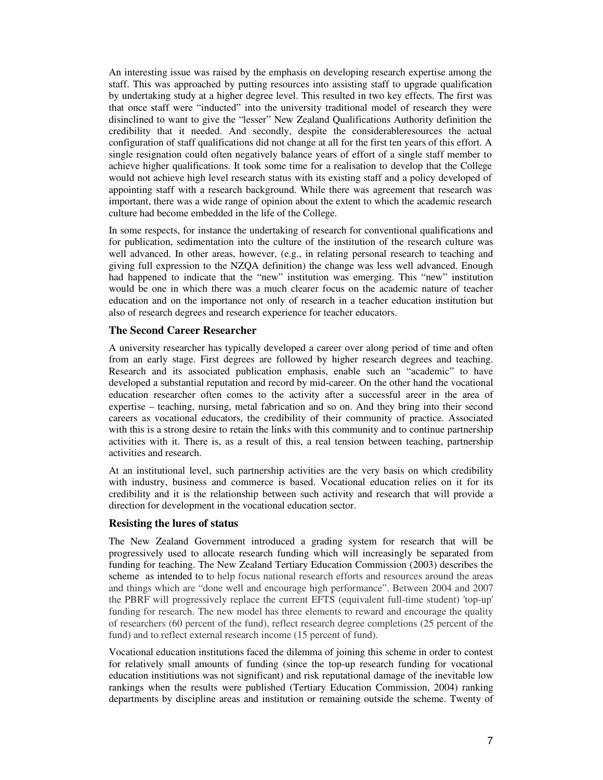An interesting issue was raised by the emphasis on developing research expertise among the staff. This was approached by putting resources into assisting staff to upgrade qualification by undertaking study at a higher degree level. This resulted in two key effects. The first was that once staff were "inducted" into the university traditional model of research they were disinclined to want to give the "lesser" New Zealand Qualifications Authority definition the credibility that it needed. And secondly, despite the considerableresources the actual configuration of staff qualifications did not change at all for the first ten years of this effort. A single resignation could often negatively balance years of effort of a single staff member to achieve higher qualifications. It took some time for a realisation to develop that the College would not achieve high level research status with its existing staff and a policy developed of appointing staff with a research background. While there was agreement that research was important, there was a wide range of opinion about the extent to which the academic research culture had become embedded in the life of the College.

In some respects, for instance the undertaking of research for conventional qualifications and for publication, sedimentation into the culture of the institution of the research culture was well advanced. In other areas, however, (e.g., in relating personal research to teaching and giving full expression to the NZQA definition) the change was less well advanced. Enough had happened to indicate that the "new" institution was emerging. This "new" institution would be one in which there was a much clearer focus on the academic nature of teacher education and on the importance not only of research in a teacher education institution but also of research degrees and research experience for teacher educators.

### **The Second Career Researcher**

A university researcher has typically developed a career over along period of time and often from an early stage. First degrees are followed by higher research degrees and teaching. Research and its associated publication emphasis, enable such an "academic" to have developed a substantial reputation and record by mid-career. On the other hand the vocational education researcher often comes to the activity after a successful areer in the area of expertise – teaching, nursing, metal fabrication and so on. And they bring into their second careers as vocational educators, the credibility of their community of practice. Associated with this is a strong desire to retain the links with this community and to continue partnership activities with it. There is, as a result of this, a real tension between teaching, partnership activities and research.

At an institutional level, such partnership activities are the very basis on which credibility with industry, business and commerce is based. Vocational education relies on it for its credibility and it is the relationship between such activity and research that will provide a direction for development in the vocational education sector.

#### **Resisting the lures of status**

The New Zealand Government introduced a grading system for research that will be progressively used to allocate research funding which will increasingly be separated from funding for teaching. The New Zealand Tertiary Education Commission (2003) describes the scheme as intended to to help focus national research efforts and resources around the areas and things which are "done well and encourage high performance". Between 2004 and 2007 the PBRF will progressively replace the current EFTS (equivalent full-time student) 'top-up' funding for research. The new model has three elements to reward and encourage the quality of researchers (60 percent of the fund), reflect research degree completions (25 percent of the fund) and to reflect external research income (15 percent of fund).

Vocational education institutions faced the dilemma of joining this scheme in order to contest for relatively small amounts of funding (since the top-up research funding for vocational education institiutions was not significant) and risk reputational damage of the inevitable low rankings when the results were published (Tertiary Education Commission, 2004) ranking departments by discipline areas and institution or remaining outside the scheme. Twenty of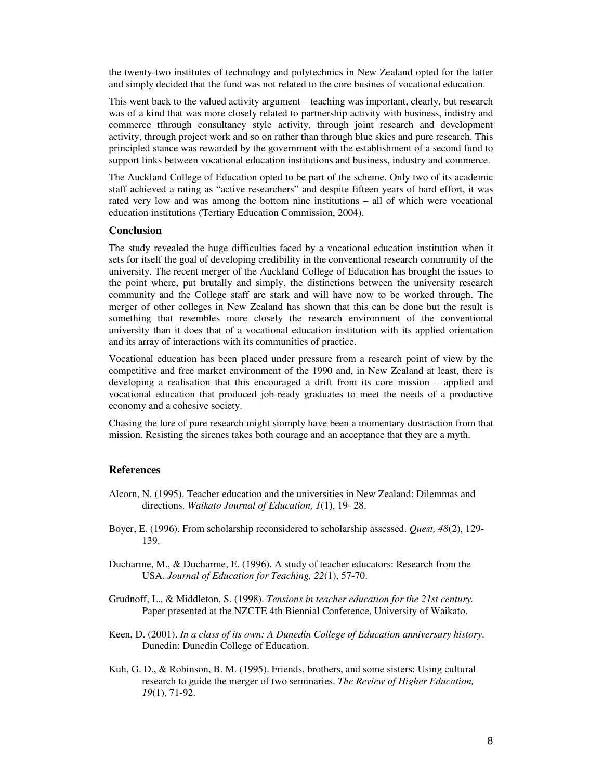the twenty-two institutes of technology and polytechnics in New Zealand opted for the latter and simply decided that the fund was not related to the core busines of vocational education.

This went back to the valued activity argument – teaching was important, clearly, but research was of a kind that was more closely related to partnership activity with business, indistry and commerce tthrough consultancy style activity, through joint research and development activity, through project work and so on rather than through blue skies and pure research. This principled stance was rewarded by the government with the establishment of a second fund to support links between vocational education institutions and business, industry and commerce.

The Auckland College of Education opted to be part of the scheme. Only two of its academic staff achieved a rating as "active researchers" and despite fifteen years of hard effort, it was rated very low and was among the bottom nine institutions – all of which were vocational education institutions (Tertiary Education Commission, 2004).

#### **Conclusion**

The study revealed the huge difficulties faced by a vocational education institution when it sets for itself the goal of developing credibility in the conventional research community of the university. The recent merger of the Auckland College of Education has brought the issues to the point where, put brutally and simply, the distinctions between the university research community and the College staff are stark and will have now to be worked through. The merger of other colleges in New Zealand has shown that this can be done but the result is something that resembles more closely the research environment of the conventional university than it does that of a vocational education institution with its applied orientation and its array of interactions with its communities of practice.

Vocational education has been placed under pressure from a research point of view by the competitive and free market environment of the 1990 and, in New Zealand at least, there is developing a realisation that this encouraged a drift from its core mission – applied and vocational education that produced job-ready graduates to meet the needs of a productive economy and a cohesive society.

Chasing the lure of pure research might siomply have been a momentary dustraction from that mission. Resisting the sirenes takes both courage and an acceptance that they are a myth.

### **References**

- Alcorn, N. (1995). Teacher education and the universities in New Zealand: Dilemmas and directions. *Waikato Journal of Education, 1*(1), 19- 28.
- Boyer, E. (1996). From scholarship reconsidered to scholarship assessed. *Quest, 48*(2), 129- 139.
- Ducharme, M., & Ducharme, E. (1996). A study of teacher educators: Research from the USA. *Journal of Education for Teaching, 22*(1), 57-70.
- Grudnoff, L., & Middleton, S. (1998). *Tensions in teacher education for the 21st century.* Paper presented at the NZCTE 4th Biennial Conference, University of Waikato.
- Keen, D. (2001). *In a class of its own: A Dunedin College of Education anniversary history*. Dunedin: Dunedin College of Education.
- Kuh, G. D., & Robinson, B. M. (1995). Friends, brothers, and some sisters: Using cultural research to guide the merger of two seminaries. *The Review of Higher Education, 19*(1), 71-92.